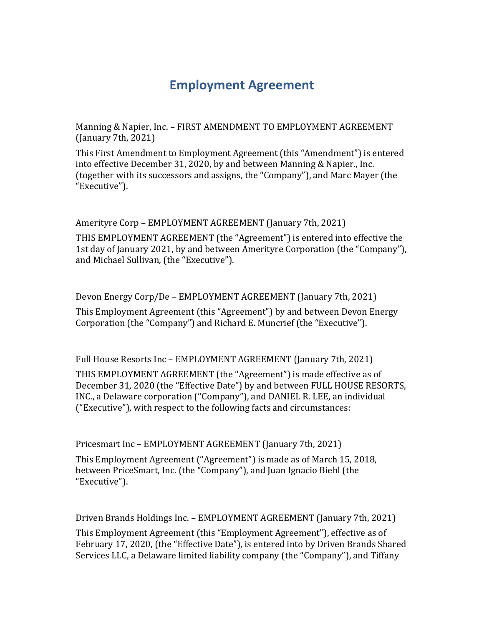## **Employment Agreement**

Manning & Napier, Inc. – FIRST AMENDMENT TO EMPLOYMENT AGREEMENT (January 7th, 2021)

This First Amendment to Employment Agreement (this "Amendment") is entered into effective December 31, 2020, by and between Manning & Napier., Inc. (together with its successors and assigns, the "Company"), and Marc Mayer (the "Executive").

## Amerityre Corp – EMPLOYMENT AGREEMENT (January 7th, 2021)

THIS EMPLOYMENT AGREEMENT (the "Agreement") is entered into effective the 1st day of January 2021, by and between Amerityre Corporation (the "Company"), and Michael Sullivan, (the "Executive").

Devon Energy Corp/De – EMPLOYMENT AGREEMENT (January 7th, 2021)

This Employment Agreement (this "Agreement") by and between Devon Energy Corporation (the "Company") and Richard E. Muncrief (the "Executive").

Full House Resorts Inc – EMPLOYMENT AGREEMENT (January 7th, 2021)

THIS EMPLOYMENT AGREEMENT (the "Agreement") is made effective as of December 31, 2020 (the "Effective Date") by and between FULL HOUSE RESORTS, INC., a Delaware corporation ("Company"), and DANIEL R. LEE, an individual ("Executive"), with respect to the following facts and circumstances:

Pricesmart Inc – EMPLOYMENT AGREEMENT (January 7th, 2021)

This Employment Agreement ("Agreement") is made as of March 15, 2018, between PriceSmart, Inc. (the "Company"), and Juan Ignacio Biehl (the "Executive").

Driven Brands Holdings Inc. – EMPLOYMENT AGREEMENT (January 7th, 2021)

This Employment Agreement (this "Employment Agreement"), effective as of February 17, 2020, (the "Effective Date"), is entered into by Driven Brands Shared Services LLC, a Delaware limited liability company (the "Company"), and Tiffany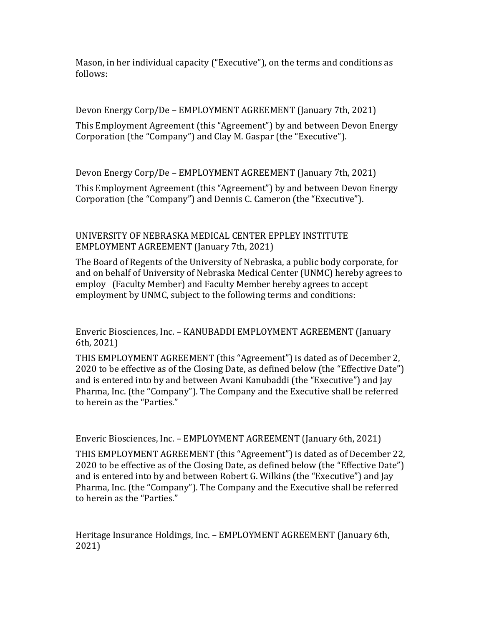Mason, in her individual capacity ("Executive"), on the terms and conditions as follows:

Devon Energy Corp/De – EMPLOYMENT AGREEMENT (January 7th, 2021)

This Employment Agreement (this "Agreement") by and between Devon Energy Corporation (the "Company") and Clay M. Gaspar (the "Executive").

Devon Energy Corp/De – EMPLOYMENT AGREEMENT (January 7th, 2021)

This Employment Agreement (this "Agreement") by and between Devon Energy Corporation (the "Company") and Dennis C. Cameron (the "Executive").

## UNIVERSITY OF NEBRASKA MEDICAL CENTER EPPLEY INSTITUTE EMPLOYMENT AGREEMENT (January 7th, 2021)

The Board of Regents of the University of Nebraska, a public body corporate, for and on behalf of University of Nebraska Medical Center (UNMC) hereby agrees to employ (Faculty Member) and Faculty Member hereby agrees to accept employment by UNMC, subject to the following terms and conditions:

Enveric Biosciences, Inc. – KANUBADDI EMPLOYMENT AGREEMENT (January 6th, 2021)

THIS EMPLOYMENT AGREEMENT (this "Agreement") is dated as of December 2, 2020 to be effective as of the Closing Date, as defined below (the "Effective Date") and is entered into by and between Avani Kanubaddi (the "Executive") and Jay Pharma, Inc. (the "Company"). The Company and the Executive shall be referred to herein as the "Parties."

Enveric Biosciences, Inc. – EMPLOYMENT AGREEMENT (January 6th, 2021)

THIS EMPLOYMENT AGREEMENT (this "Agreement") is dated as of December 22, 2020 to be effective as of the Closing Date, as defined below (the "Effective Date") and is entered into by and between Robert G. Wilkins (the "Executive") and Jay Pharma, Inc. (the "Company"). The Company and the Executive shall be referred to herein as the "Parties."

Heritage Insurance Holdings, Inc. – EMPLOYMENT AGREEMENT (January 6th, 2021)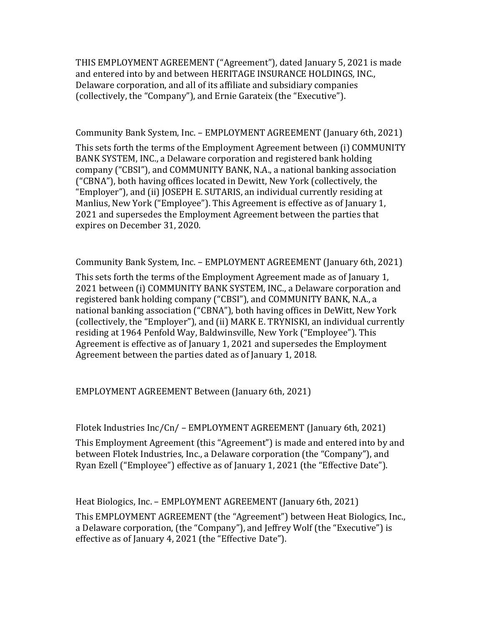THIS EMPLOYMENT AGREEMENT ("Agreement"), dated January 5, 2021 is made and entered into by and between HERITAGE INSURANCE HOLDINGS, INC., Delaware corporation, and all of its affiliate and subsidiary companies (collectively, the "Company"), and Ernie Garateix (the "Executive").

Community Bank System, Inc. – EMPLOYMENT AGREEMENT (January 6th, 2021)

This sets forth the terms of the Employment Agreement between (i) COMMUNITY BANK SYSTEM, INC., a Delaware corporation and registered bank holding company ("CBSI"), and COMMUNITY BANK, N.A., a national banking association ("CBNA"), both having offices located in Dewitt, New York (collectively, the "Employer"), and (ii) JOSEPH E. SUTARIS, an individual currently residing at Manlius, New York ("Employee"). This Agreement is effective as of January 1, 2021 and supersedes the Employment Agreement between the parties that expires on December 31, 2020.

Community Bank System, Inc. – EMPLOYMENT AGREEMENT (January 6th, 2021)

This sets forth the terms of the Employment Agreement made as of January 1, 2021 between (i) COMMUNITY BANK SYSTEM, INC., a Delaware corporation and registered bank holding company ("CBSI"), and COMMUNITY BANK, N.A., a national banking association ("CBNA"), both having offices in DeWitt, New York (collectively, the "Employer"), and (ii) MARK E. TRYNISKI, an individual currently residing at 1964 Penfold Way, Baldwinsville, New York ("Employee"). This Agreement is effective as of January 1, 2021 and supersedes the Employment Agreement between the parties dated as of January 1, 2018.

EMPLOYMENT AGREEMENT Between (January 6th, 2021)

Flotek Industries Inc/Cn/ – EMPLOYMENT AGREEMENT (January 6th, 2021)

This Employment Agreement (this "Agreement") is made and entered into by and between Flotek Industries, Inc., a Delaware corporation (the "Company"), and Ryan Ezell ("Employee") effective as of January 1, 2021 (the "Effective Date").

Heat Biologics, Inc. – EMPLOYMENT AGREEMENT (January 6th, 2021)

This EMPLOYMENT AGREEMENT (the "Agreement") between Heat Biologics, Inc., a Delaware corporation, (the "Company"), and Jeffrey Wolf (the "Executive") is effective as of January 4, 2021 (the "Effective Date").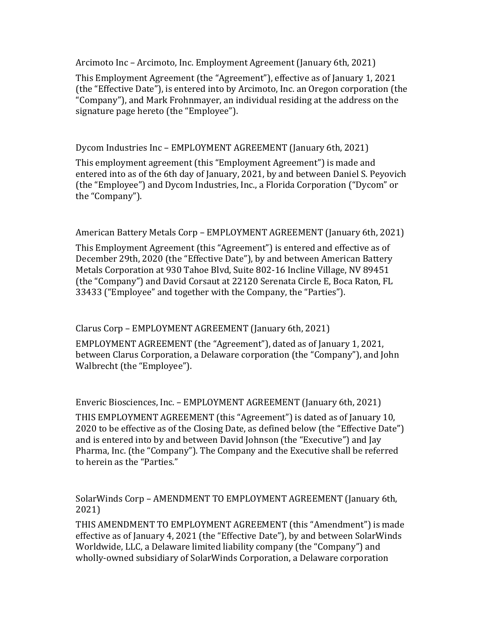Arcimoto Inc – Arcimoto, Inc. Employment Agreement (January 6th, 2021)

This Employment Agreement (the "Agreement"), effective as of January 1, 2021 (the "Effective Date"), is entered into by Arcimoto, Inc. an Oregon corporation (the "Company"), and Mark Frohnmayer, an individual residing at the address on the signature page hereto (the "Employee").

Dycom Industries Inc – EMPLOYMENT AGREEMENT (January 6th, 2021)

This employment agreement (this "Employment Agreement") is made and entered into as of the 6th day of January, 2021, by and between Daniel S. Peyovich (the "Employee") and Dycom Industries, Inc., a Florida Corporation ("Dycom" or the "Company").

American Battery Metals Corp – EMPLOYMENT AGREEMENT (January 6th, 2021)

This Employment Agreement (this "Agreement") is entered and effective as of December 29th, 2020 (the "Effective Date"), by and between American Battery Metals Corporation at 930 Tahoe Blvd, Suite 802-16 Incline Village, NV 89451 (the "Company") and David Corsaut at 22120 Serenata Circle E, Boca Raton, FL 33433 ("Employee" and together with the Company, the "Parties").

Clarus Corp – EMPLOYMENT AGREEMENT (January 6th, 2021)

EMPLOYMENT AGREEMENT (the "Agreement"), dated as of January 1, 2021, between Clarus Corporation, a Delaware corporation (the "Company"), and John Walbrecht (the "Employee").

Enveric Biosciences, Inc. – EMPLOYMENT AGREEMENT (January 6th, 2021)

THIS EMPLOYMENT AGREEMENT (this "Agreement") is dated as of January 10, 2020 to be effective as of the Closing Date, as defined below (the "Effective Date") and is entered into by and between David Johnson (the "Executive") and Jay Pharma, Inc. (the "Company"). The Company and the Executive shall be referred to herein as the "Parties."

SolarWinds Corp – AMENDMENT TO EMPLOYMENT AGREEMENT (January 6th, 2021)

THIS AMENDMENT TO EMPLOYMENT AGREEMENT (this "Amendment") is made effective as of January 4, 2021 (the "Effective Date"), by and between SolarWinds Worldwide, LLC, a Delaware limited liability company (the "Company") and wholly-owned subsidiary of SolarWinds Corporation, a Delaware corporation